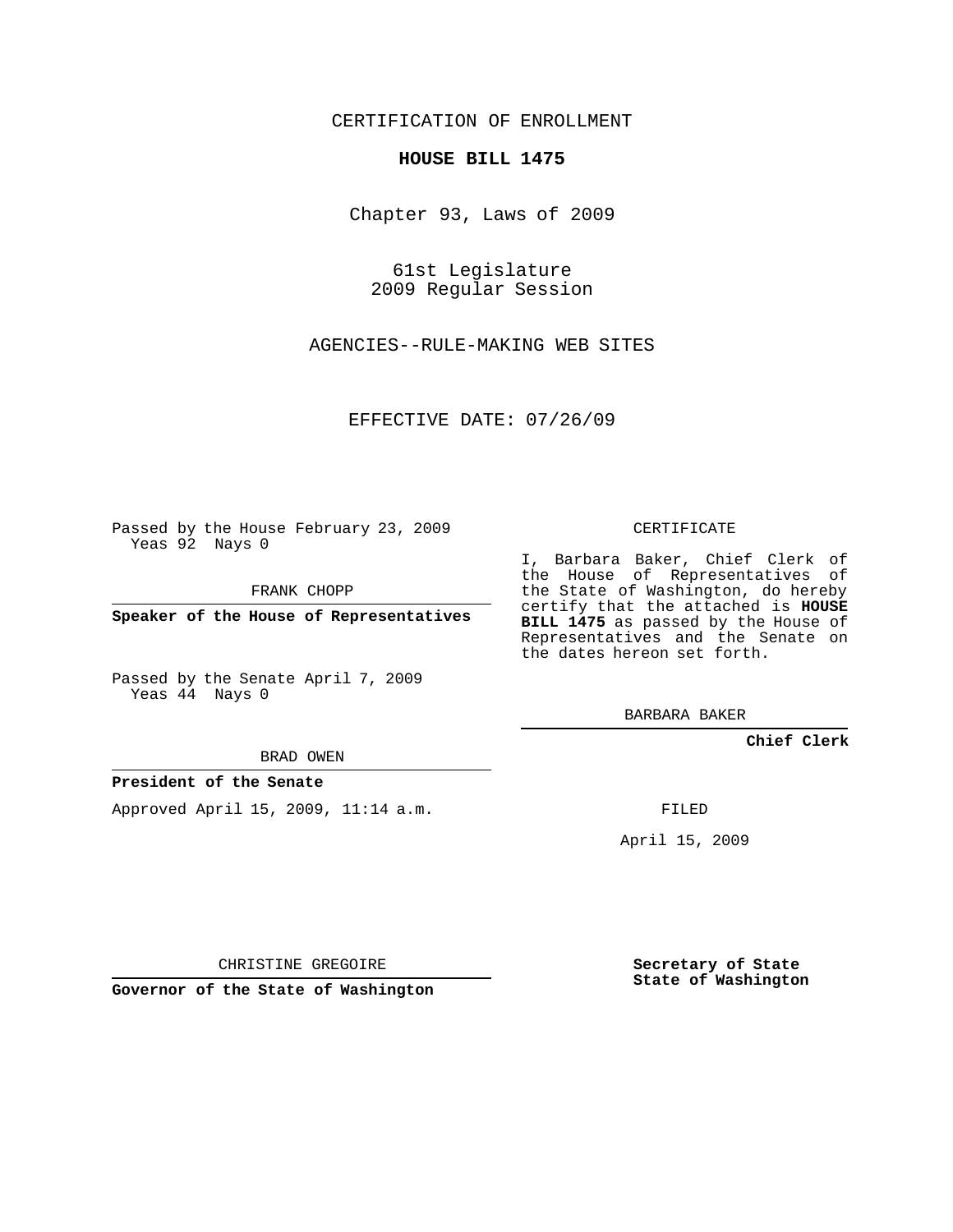## CERTIFICATION OF ENROLLMENT

## **HOUSE BILL 1475**

Chapter 93, Laws of 2009

61st Legislature 2009 Regular Session

AGENCIES--RULE-MAKING WEB SITES

EFFECTIVE DATE: 07/26/09

Passed by the House February 23, 2009 Yeas 92 Nays 0

FRANK CHOPP

**Speaker of the House of Representatives**

Passed by the Senate April 7, 2009 Yeas 44 Nays 0

BRAD OWEN

## **President of the Senate**

Approved April 15, 2009, 11:14 a.m.

CERTIFICATE

I, Barbara Baker, Chief Clerk of the House of Representatives of the State of Washington, do hereby certify that the attached is **HOUSE BILL 1475** as passed by the House of Representatives and the Senate on the dates hereon set forth.

BARBARA BAKER

**Chief Clerk**

FILED

April 15, 2009

CHRISTINE GREGOIRE

**Governor of the State of Washington**

**Secretary of State State of Washington**